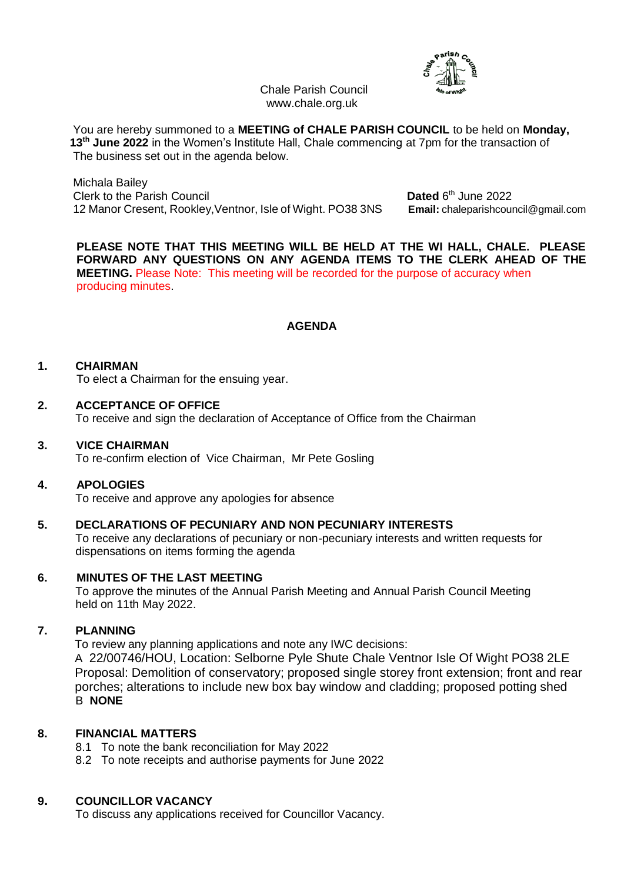

Chale Parish Council www.chale.org.uk

 You are hereby summoned to a **MEETING of CHALE PARISH COUNCIL** to be held on **Monday, 13 th June 2022** in the Women's Institute Hall, Chale commencing at 7pm for the transaction of The business set out in the agenda below.

 Michala Bailey **Clerk to the Parish Council** 12 Manor Cresent, Rookley,Ventnor, Isle of Wight. PO38 3NS **Email:** chaleparishcouncil@gmail.com

Dated  $6<sup>th</sup>$  June 2022

**PLEASE NOTE THAT THIS MEETING WILL BE HELD AT THE WI HALL, CHALE. PLEASE FORWARD ANY QUESTIONS ON ANY AGENDA ITEMS TO THE CLERK AHEAD OF THE MEETING.** Please Note: This meeting will be recorded for the purpose of accuracy when producing minutes.

# **AGENDA**

## **1. CHAIRMAN**

To elect a Chairman for the ensuing year.

#### **2. ACCEPTANCE OF OFFICE**

To receive and sign the declaration of Acceptance of Office from the Chairman

#### **3. VICE CHAIRMAN**

To re-confirm election of Vice Chairman, Mr Pete Gosling

#### **4. APOLOGIES**

To receive and approve any apologies for absence

## **5. DECLARATIONS OF PECUNIARY AND NON PECUNIARY INTERESTS**

To receive any declarations of pecuniary or non-pecuniary interests and written requests for dispensations on items forming the agenda

#### **6. MINUTES OF THE LAST MEETING**

To approve the minutes of the Annual Parish Meeting and Annual Parish Council Meeting held on 11th May 2022.

#### **7. PLANNING**

To review any planning applications and note any IWC decisions:

A 22/00746/HOU, Location: Selborne Pyle Shute Chale Ventnor Isle Of Wight PO38 2LE Proposal: Demolition of conservatory; proposed single storey front extension; front and rear porches; alterations to include new box bay window and cladding; proposed potting shed B **NONE**

# **8. FINANCIAL MATTERS**

- 8.1 To note the bank reconciliation for May 2022
- 8.2 To note receipts and authorise payments for June 2022

# **9. COUNCILLOR VACANCY**

To discuss any applications received for Councillor Vacancy.